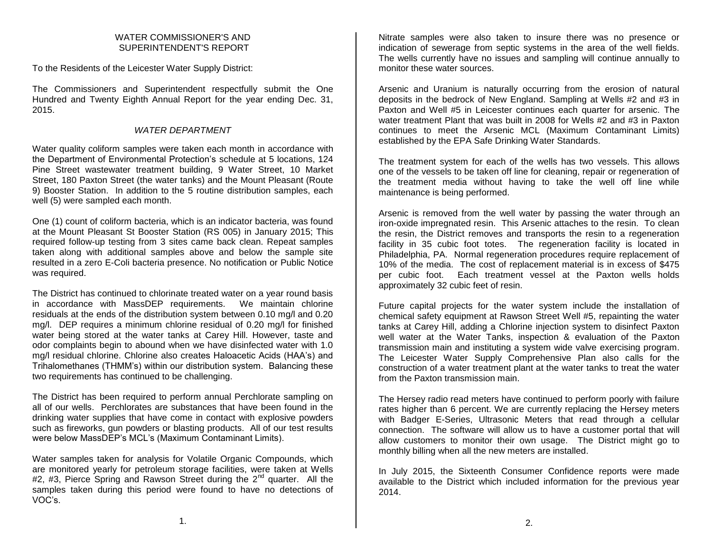#### WATER COMMISSIONER'S AND SUPERINTENDENT'S REPORT

To the Residents of the Leicester Water Supply District:

The Commissioners and Superintendent respectfully submit the One Hundred and Twenty Eighth Annual Report for the year ending Dec. 31, 2015.

## *WATER DEPARTMENT*

Water quality coliform samples were taken each month in accordance with the Department of Environmental Protection's schedule at 5 locations, 124 Pine Street wastewater treatment building, 9 Water Street, 10 Market Street, 180 Paxton Street (the water tanks) and the Mount Pleasant (Route 9) Booster Station. In addition to the 5 routine distribution samples, each well (5) were sampled each month.

One (1) count of coliform bacteria, which is an indicator bacteria, was found at the Mount Pleasant St Booster Station (RS 005) in January 2015; This required follow-up testing from 3 sites came back clean. Repeat samples taken along with additional samples above and below the sample site resulted in a zero E-Coli bacteria presence. No notification or Public Notice was required.

The District has continued to chlorinate treated water on a year round basis in accordance with MassDEP requirements. We maintain chlorine residuals at the ends of the distribution system between 0.10 mg/l and 0.20 mg/l. DEP requires a minimum chlorine residual of 0.20 mg/l for finished water being stored at the water tanks at Carey Hill. However, taste and odor complaints begin to abound when we have disinfected water with 1.0 mg/l residual chlorine. Chlorine also creates Haloacetic Acids (HAA's) and Trihalomethanes (THMM's) within our distribution system. Balancing these two requirements has continued to be challenging.

The District has been required to perform annual Perchlorate sampling on all of our wells. Perchlorates are substances that have been found in the drinking water supplies that have come in contact with explosive powders such as fireworks, gun powders or blasting products. All of our test results were below MassDEP's MCL's (Maximum Contaminant Limits).

Water samples taken for analysis for Volatile Organic Compounds, which are monitored yearly for petroleum storage facilities, were taken at Wells #2, #3, Pierce Spring and Rawson Street during the  $2^{nd}$  quarter. All the samples taken during this period were found to have no detections of VOC's.

Nitrate samples were also taken to insure there was no presence or indication of sewerage from septic systems in the area of the well fields. The wells currently have no issues and sampling will continue annually to monitor these water sources.

Arsenic and Uranium is naturally occurring from the erosion of natural deposits in the bedrock of New England. Sampling at Wells #2 and #3 in Paxton and Well #5 in Leicester continues each quarter for arsenic. The water treatment Plant that was built in 2008 for Wells #2 and #3 in Paxton continues to meet the Arsenic MCL (Maximum Contaminant Limits) established by the EPA Safe Drinking Water Standards.

The treatment system for each of the wells has two vessels. This allows one of the vessels to be taken off line for cleaning, repair or regeneration of the treatment media without having to take the well off line while maintenance is being performed.

Arsenic is removed from the well water by passing the water through an iron-oxide impregnated resin. This Arsenic attaches to the resin. To clean the resin, the District removes and transports the resin to a regeneration facility in 35 cubic foot totes. The regeneration facility is located in Philadelphia, PA. Normal regeneration procedures require replacement of 10% of the media. The cost of replacement material is in excess of \$475 per cubic foot. Each treatment vessel at the Paxton wells holds approximately 32 cubic feet of resin.

Future capital projects for the water system include the installation of chemical safety equipment at Rawson Street Well #5, repainting the water tanks at Carey Hill, adding a Chlorine injection system to disinfect Paxton well water at the Water Tanks, inspection & evaluation of the Paxton transmission main and instituting a system wide valve exercising program. The Leicester Water Supply Comprehensive Plan also calls for the construction of a water treatment plant at the water tanks to treat the water from the Paxton transmission main.

The Hersey radio read meters have continued to perform poorly with failure rates higher than 6 percent. We are currently replacing the Hersey meters with Badger E-Series, Ultrasonic Meters that read through a cellular connection. The software will allow us to have a customer portal that will allow customers to monitor their own usage. The District might go to monthly billing when all the new meters are installed.

In July 2015, the Sixteenth Consumer Confidence reports were made available to the District which included information for the previous year 2014.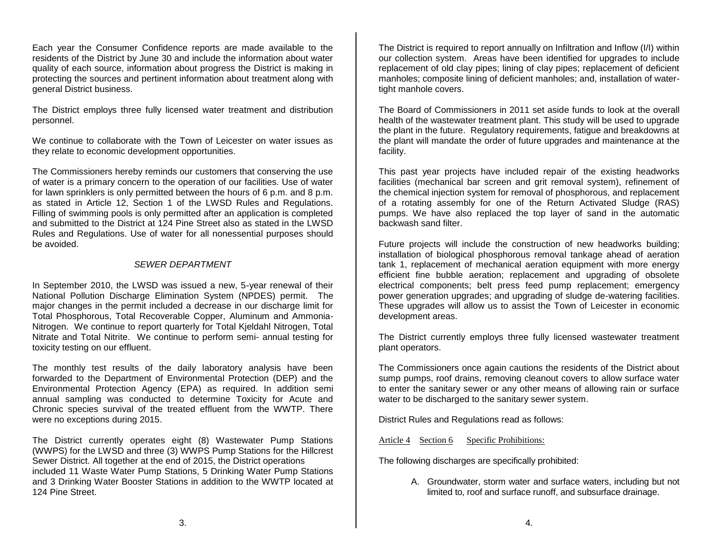Each year the Consumer Confidence reports are made available to the residents of the District by June 30 and include the information about water quality of each source, information about progress the District is making in protecting the sources and pertinent information about treatment along with general District business.

The District employs three fully licensed water treatment and distribution personnel.

We continue to collaborate with the Town of Leicester on water issues as they relate to economic development opportunities.

The Commissioners hereby reminds our customers that conserving the use of water is a primary concern to the operation of our facilities. Use of water for lawn sprinklers is only permitted between the hours of 6 p.m. and 8 p.m. as stated in Article 12, Section 1 of the LWSD Rules and Regulations. Filling of swimming pools is only permitted after an application is completed and submitted to the District at 124 Pine Street also as stated in the LWSD Rules and Regulations. Use of water for all nonessential purposes should be avoided.

### *SEWER DEPARTMENT*

In September 2010, the LWSD was issued a new, 5-year renewal of their National Pollution Discharge Elimination System (NPDES) permit. The major changes in the permit included a decrease in our discharge limit for Total Phosphorous, Total Recoverable Copper, Aluminum and Ammonia-Nitrogen. We continue to report quarterly for Total Kjeldahl Nitrogen, Total Nitrate and Total Nitrite. We continue to perform semi- annual testing for toxicity testing on our effluent.

The monthly test results of the daily laboratory analysis have been forwarded to the Department of Environmental Protection (DEP) and the Environmental Protection Agency (EPA) as required. In addition semi annual sampling was conducted to determine Toxicity for Acute and Chronic species survival of the treated effluent from the WWTP. There were no exceptions during 2015.

The District currently operates eight (8) Wastewater Pump Stations (WWPS) for the LWSD and three (3) WWPS Pump Stations for the Hillcrest Sewer District. All together at the end of 2015, the District operations included 11 Waste Water Pump Stations, 5 Drinking Water Pump Stations and 3 Drinking Water Booster Stations in addition to the WWTP located at 124 Pine Street.

The District is required to report annually on Infiltration and Inflow (I/I) within our collection system. Areas have been identified for upgrades to include replacement of old clay pipes; lining of clay pipes; replacement of deficient manholes; composite lining of deficient manholes; and, installation of watertight manhole covers.

The Board of Commissioners in 2011 set aside funds to look at the overall health of the wastewater treatment plant. This study will be used to upgrade the plant in the future. Regulatory requirements, fatigue and breakdowns at the plant will mandate the order of future upgrades and maintenance at the facility.

This past year projects have included repair of the existing headworks facilities (mechanical bar screen and grit removal system), refinement of the chemical injection system for removal of phosphorous, and replacement of a rotating assembly for one of the Return Activated Sludge (RAS) pumps. We have also replaced the top layer of sand in the automatic backwash sand filter.

Future projects will include the construction of new headworks building; installation of biological phosphorous removal tankage ahead of aeration tank 1, replacement of mechanical aeration equipment with more energy efficient fine bubble aeration; replacement and upgrading of obsolete electrical components; belt press feed pump replacement; emergency power generation upgrades; and upgrading of sludge de-watering facilities. These upgrades will allow us to assist the Town of Leicester in economic development areas.

The District currently employs three fully licensed wastewater treatment plant operators.

The Commissioners once again cautions the residents of the District about sump pumps, roof drains, removing cleanout covers to allow surface water to enter the sanitary sewer or any other means of allowing rain or surface water to be discharged to the sanitary sewer system.

District Rules and Regulations read as follows:

Article 4 Section 6 Specific Prohibitions:

The following discharges are specifically prohibited:

A. Groundwater, storm water and surface waters, including but not limited to, roof and surface runoff, and subsurface drainage.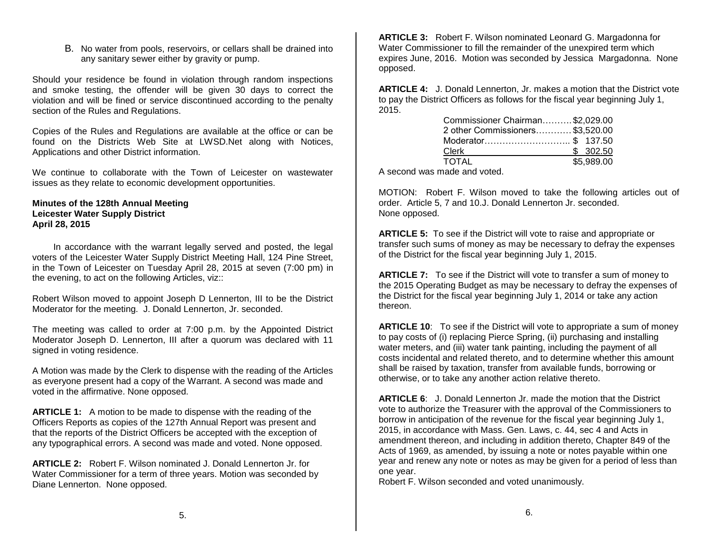B. No water from pools, reservoirs, or cellars shall be drained into any sanitary sewer either by gravity or pump.

Should your residence be found in violation through random inspections and smoke testing, the offender will be given 30 days to correct the violation and will be fined or service discontinued according to the penalty section of the Rules and Regulations.

Copies of the Rules and Regulations are available at the office or can be found on the Districts Web Site at LWSD.Net along with Notices, Applications and other District information.

We continue to collaborate with the Town of Leicester on wastewater issues as they relate to economic development opportunities.

#### **Minutes of the 128th Annual Meeting Leicester Water Supply District April 28, 2015**

 In accordance with the warrant legally served and posted, the legal voters of the Leicester Water Supply District Meeting Hall, 124 Pine Street, in the Town of Leicester on Tuesday April 28, 2015 at seven (7:00 pm) in the evening, to act on the following Articles, viz::

Robert Wilson moved to appoint Joseph D Lennerton, III to be the District Moderator for the meeting. J. Donald Lennerton, Jr. seconded.

The meeting was called to order at 7:00 p.m. by the Appointed District Moderator Joseph D. Lennerton, III after a quorum was declared with 11 signed in voting residence.

A Motion was made by the Clerk to dispense with the reading of the Articles as everyone present had a copy of the Warrant. A second was made and voted in the affirmative. None opposed.

**ARTICLE 1:** A motion to be made to dispense with the reading of the Officers Reports as copies of the 127th Annual Report was present and that the reports of the District Officers be accepted with the exception of any typographical errors. A second was made and voted. None opposed.

**ARTICLE 2:** Robert F. Wilson nominated J. Donald Lennerton Jr. for Water Commissioner for a term of three years. Motion was seconded by Diane Lennerton. None opposed.

**ARTICLE 3:** Robert F. Wilson nominated Leonard G. Margadonna for Water Commissioner to fill the remainder of the unexpired term which expires June, 2016. Motion was seconded by Jessica Margadonna. None opposed.

**ARTICLE 4:** J. Donald Lennerton, Jr. makes a motion that the District vote to pay the District Officers as follows for the fiscal year beginning July 1, 2015.

| Commissioner Chairman\$2,029.00 |            |  |
|---------------------------------|------------|--|
| 2 other Commissioners\$3,520.00 |            |  |
| Moderator\$ 137.50              |            |  |
| Clerk                           | \$302.50   |  |
| TOTAL                           | \$5,989.00 |  |

A second was made and voted.

MOTION: Robert F. Wilson moved to take the following articles out of order. Article 5, 7 and 10.J. Donald Lennerton Jr. seconded. None opposed.

**ARTICLE 5:** To see if the District will vote to raise and appropriate or transfer such sums of money as may be necessary to defray the expenses of the District for the fiscal year beginning July 1, 2015.

**ARTICLE 7:** To see if the District will vote to transfer a sum of money to the 2015 Operating Budget as may be necessary to defray the expenses of the District for the fiscal year beginning July 1, 2014 or take any action thereon.

**ARTICLE 10**: To see if the District will vote to appropriate a sum of money to pay costs of (i) replacing Pierce Spring, (ii) purchasing and installing water meters, and (iii) water tank painting, including the payment of all costs incidental and related thereto, and to determine whether this amount shall be raised by taxation, transfer from available funds, borrowing or otherwise, or to take any another action relative thereto.

**ARTICLE 6**: J. Donald Lennerton Jr. made the motion that the District vote to authorize the Treasurer with the approval of the Commissioners to borrow in anticipation of the revenue for the fiscal year beginning July 1, 2015, in accordance with Mass. Gen. Laws, c. 44, sec 4 and Acts in amendment thereon, and including in addition thereto, Chapter 849 of the Acts of 1969, as amended, by issuing a note or notes payable within one year and renew any note or notes as may be given for a period of less than one year.

Robert F. Wilson seconded and voted unanimously.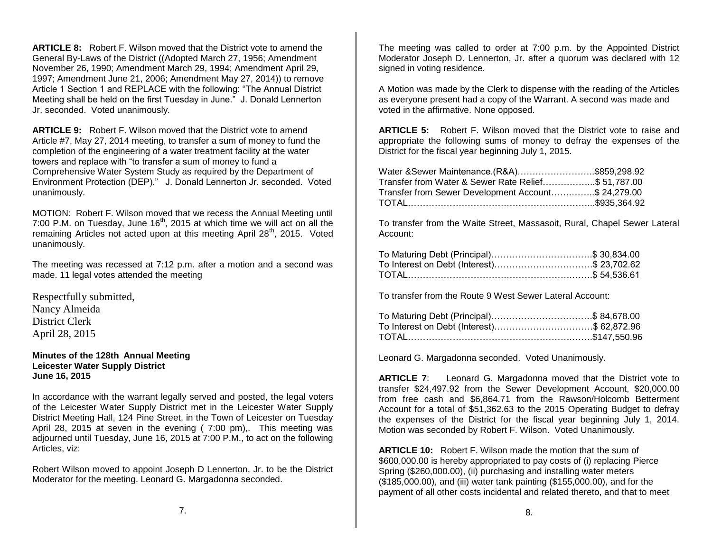**ARTICLE 8:** Robert F. Wilson moved that the District vote to amend the General By-Laws of the District ((Adopted March 27, 1956; Amendment November 26, 1990; Amendment March 29, 1994; Amendment April 29, 1997; Amendment June 21, 2006; Amendment May 27, 2014)) to remove Article 1 Section 1 and REPLACE with the following: "The Annual District Meeting shall be held on the first Tuesday in June." J. Donald Lennerton Jr. seconded. Voted unanimously.

**ARTICLE 9:** Robert F. Wilson moved that the District vote to amend Article #7, May 27, 2014 meeting, to transfer a sum of money to fund the completion of the engineering of a water treatment facility at the water towers and replace with "to transfer a sum of money to fund a Comprehensive Water System Study as required by the Department of Environment Protection (DEP)." J. Donald Lennerton Jr. seconded. Voted unanimously.

MOTION: Robert F. Wilson moved that we recess the Annual Meeting until 7:00 P.M. on Tuesday, June  $16<sup>th</sup>$ , 2015 at which time we will act on all the remaining Articles not acted upon at this meeting April 28<sup>th</sup>, 2015. Voted unanimously.

The meeting was recessed at 7:12 p.m. after a motion and a second was made. 11 legal votes attended the meeting

Respectfully submitted, Nancy Almeida District Clerk April 28, 2015

**Minutes of the 128th Annual Meeting Leicester Water Supply District June 16, 2015**

In accordance with the warrant legally served and posted, the legal voters of the Leicester Water Supply District met in the Leicester Water Supply District Meeting Hall, 124 Pine Street, in the Town of Leicester on Tuesday April 28, 2015 at seven in the evening ( 7:00 pm),. This meeting was adjourned until Tuesday, June 16, 2015 at 7:00 P.M., to act on the following Articles, viz:

Robert Wilson moved to appoint Joseph D Lennerton, Jr. to be the District Moderator for the meeting. Leonard G. Margadonna seconded.

The meeting was called to order at 7:00 p.m. by the Appointed District Moderator Joseph D. Lennerton, Jr. after a quorum was declared with 12 signed in voting residence.

A Motion was made by the Clerk to dispense with the reading of the Articles as everyone present had a copy of the Warrant. A second was made and voted in the affirmative. None opposed.

**ARTICLE 5:** Robert F. Wilson moved that the District vote to raise and appropriate the following sums of money to defray the expenses of the District for the fiscal year beginning July 1, 2015.

| Water & Sewer Maintenance.(R&A)\$859,298.92         |  |
|-----------------------------------------------------|--|
| Transfer from Water & Sewer Rate Relief\$ 51,787.00 |  |
| Transfer from Sewer Development Account\$ 24,279.00 |  |
|                                                     |  |

To transfer from the Waite Street, Massasoit, Rural, Chapel Sewer Lateral Account:

| To Maturing Debt (Principal)\$ 30,834.00   |  |
|--------------------------------------------|--|
| To Interest on Debt (Interest)\$ 23,702.62 |  |
|                                            |  |

To transfer from the Route 9 West Sewer Lateral Account:

| To Maturing Debt (Principal)\$ 84,678.00   |  |
|--------------------------------------------|--|
| To Interest on Debt (Interest)\$ 62,872.96 |  |
|                                            |  |

Leonard G. Margadonna seconded. Voted Unanimously.

**ARTICLE 7**: Leonard G. Margadonna moved that the District vote to transfer \$24,497.92 from the Sewer Development Account, \$20,000.00 from free cash and \$6,864.71 from the Rawson/Holcomb Betterment Account for a total of \$51,362.63 to the 2015 Operating Budget to defray the expenses of the District for the fiscal year beginning July 1, 2014. Motion was seconded by Robert F. Wilson. Voted Unanimously.

**ARTICLE 10:** Robert F. Wilson made the motion that the sum of \$600,000.00 is hereby appropriated to pay costs of (i) replacing Pierce Spring (\$260,000.00), (ii) purchasing and installing water meters (\$185,000.00), and (iii) water tank painting (\$155,000.00), and for the payment of all other costs incidental and related thereto, and that to meet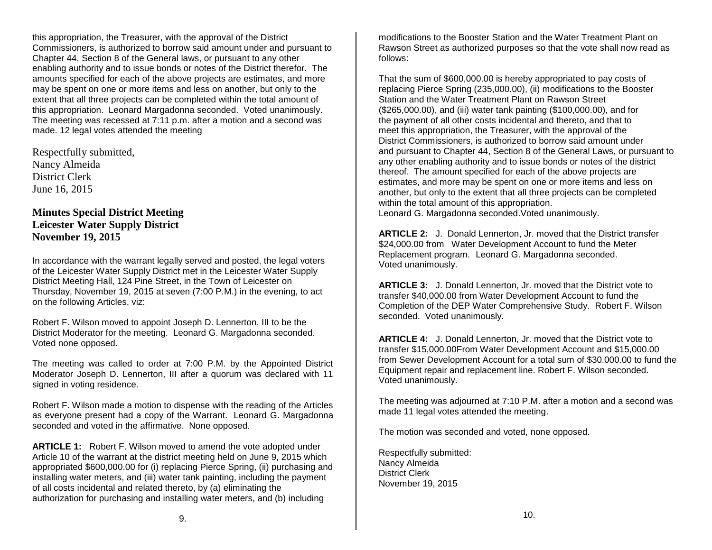this appropriation, the Treasurer, with the approval of the District Commissioners, is authorized to borrow said amount under and pursuant to Chapter 44, Section 8 of the General laws, or pursuant to any other enabling authority and to issue bonds or notes of the District therefor. The amounts specified for each of the above projects are estimates, and more may be spent on one or more items and less on another, but only to the extent that all three projects can be completed within the total amount of this appropriation. Leonard Margadonna seconded. Voted unanimously. The meeting was recessed at 7:11 p.m. after a motion and a second was made. 12 legal votes attended the meeting

Respectfully submitted, Nancy Almeida District Clerk June 16, 2015

# **Minutes Special District Meeting Leicester Water Supply District November 19, 2015**

In accordance with the warrant legally served and posted, the legal voters of the Leicester Water Supply District met in the Leicester Water Supply District Meeting Hall, 124 Pine Street, in the Town of Leicester on Thursday, November 19, 2015 at seven (7:00 P.M.) in the evening, to act on the following Articles, viz:

Robert F. Wilson moved to appoint Joseph D. Lennerton, III to be the District Moderator for the meeting. Leonard G. Margadonna seconded. Voted none opposed.

The meeting was called to order at 7:00 P.M. by the Appointed District Moderator Joseph D. Lennerton, III after a quorum was declared with 11 signed in voting residence.

Robert F. Wilson made a motion to dispense with the reading of the Articles as everyone present had a copy of the Warrant. Leonard G. Margadonna seconded and voted in the affirmative. None opposed.

**ARTICLE 1:** Robert F. Wilson moved to amend the vote adopted under Article 10 of the warrant at the district meeting held on June 9, 2015 which appropriated \$600,000.00 for (i) replacing Pierce Spring, (ii) purchasing and installing water meters, and (iii) water tank painting, including the payment of all costs incidental and related thereto, by (a) eliminating the authorization for purchasing and installing water meters, and (b) including

modifications to the Booster Station and the Water Treatment Plant on Rawson Street as authorized purposes so that the vote shall now read as follows:

That the sum of \$600,000.00 is hereby appropriated to pay costs of replacing Pierce Spring (235,000.00), (ii) modifications to the Booster Station and the Water Treatment Plant on Rawson Street (\$265,000.00), and (iii) water tank painting (\$100,000.00), and for the payment of all other costs incidental and thereto, and that to meet this appropriation, the Treasurer, with the approval of the District Commissioners, is authorized to borrow said amount under and pursuant to Chapter 44, Section 8 of the General Laws, or pursuant to any other enabling authority and to issue bonds or notes of the district thereof. The amount specified for each of the above projects are estimates, and more may be spent on one or more items and less on another, but only to the extent that all three projects can be completed within the total amount of this appropriation. Leonard G. Margadonna seconded.Voted unanimously.

**ARTICLE 2:** J. Donald Lennerton, Jr. moved that the District transfer \$24,000.00 from Water Development Account to fund the Meter Replacement program. Leonard G. Margadonna seconded. Voted unanimously.

**ARTICLE 3:** J. Donald Lennerton, Jr. moved that the District vote to transfer \$40,000.00 from Water Development Account to fund the Completion of the DEP Water Comprehensive Study. Robert F. Wilson seconded. Voted unanimously.

**ARTICLE 4:** J. Donald Lennerton, Jr. moved that the District vote to transfer \$15,000.00From Water Development Account and \$15,000.00 from Sewer Development Account for a total sum of \$30.000.00 to fund the Equipment repair and replacement line. Robert F. Wilson seconded. Voted unanimously.

The meeting was adjourned at 7:10 P.M. after a motion and a second was made 11 legal votes attended the meeting.

The motion was seconded and voted, none opposed.

Respectfully submitted: Nancy Almeida District Clerk November 19, 2015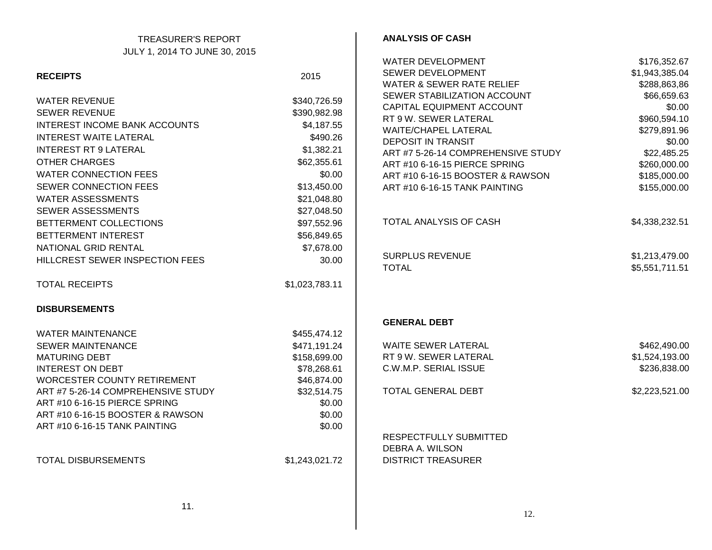## TREASURER'S REPORT JULY 1, 2014 TO JUNE 30, 2015

|                                    |                | WATER DEVELOPMENT                    | \$176,352.67   |
|------------------------------------|----------------|--------------------------------------|----------------|
| <b>RECEIPTS</b>                    | 2015           | SEWER DEVELOPMENT                    | \$1,943,385.04 |
|                                    |                | <b>WATER &amp; SEWER RATE RELIEF</b> | \$288,863,86   |
| <b>WATER REVENUE</b>               | \$340,726.59   | SEWER STABILIZATION ACCOUNT          | \$66,659.63    |
| <b>SEWER REVENUE</b>               | \$390,982.98   | CAPITAL EQUIPMENT ACCOUNT            | \$0.00         |
| INTEREST INCOME BANK ACCOUNTS      | \$4,187.55     | RT 9 W. SEWER LATERAL                | \$960,594.10   |
|                                    |                | <b>WAITE/CHAPEL LATERAL</b>          | \$279,891.96   |
| <b>INTEREST WAITE LATERAL</b>      | \$490.26       | <b>DEPOSIT IN TRANSIT</b>            | \$0.00         |
| <b>INTEREST RT 9 LATERAL</b>       | \$1,382.21     | ART #7 5-26-14 COMPREHENSIVE STUDY   | \$22,485.25    |
| <b>OTHER CHARGES</b>               | \$62,355.61    | ART #10 6-16-15 PIERCE SPRING        | \$260,000.00   |
| <b>WATER CONNECTION FEES</b>       | \$0.00         | ART #10 6-16-15 BOOSTER & RAWSON     | \$185,000.00   |
| SEWER CONNECTION FEES              | \$13,450.00    | ART #10 6-16-15 TANK PAINTING        | \$155,000.00   |
| <b>WATER ASSESSMENTS</b>           | \$21,048.80    |                                      |                |
| SEWER ASSESSMENTS                  | \$27,048.50    |                                      |                |
| BETTERMENT COLLECTIONS             | \$97,552.96    | <b>TOTAL ANALYSIS OF CASH</b>        | \$4,338,232.51 |
| BETTERMENT INTEREST                | \$56,849.65    |                                      |                |
| NATIONAL GRID RENTAL               | \$7,678.00     |                                      |                |
| HILLCREST SEWER INSPECTION FEES    | 30.00          | <b>SURPLUS REVENUE</b>               | \$1,213,479.00 |
|                                    |                | <b>TOTAL</b>                         | \$5,551,711.51 |
| <b>TOTAL RECEIPTS</b>              | \$1,023,783.11 |                                      |                |
| <b>DISBURSEMENTS</b>               |                |                                      |                |
|                                    |                | <b>GENERAL DEBT</b>                  |                |
| <b>WATER MAINTENANCE</b>           | \$455,474.12   |                                      |                |
| <b>SEWER MAINTENANCE</b>           | \$471,191.24   | WAITE SEWER LATERAL                  | \$462,490.00   |
| <b>MATURING DEBT</b>               | \$158,699.00   | RT 9 W. SEWER LATERAL                | \$1,524,193.00 |
| <b>INTEREST ON DEBT</b>            | \$78,268.61    | C.W.M.P. SERIAL ISSUE                | \$236,838.00   |
| WORCESTER COUNTY RETIREMENT        | \$46,874.00    |                                      |                |
| ART #7 5-26-14 COMPREHENSIVE STUDY | \$32,514.75    | TOTAL GENERAL DEBT                   | \$2,223,521.00 |
| ART #10 6-16-15 PIERCE SPRING      | \$0.00         |                                      |                |
| ART #10 6-16-15 BOOSTER & RAWSON   | \$0.00         |                                      |                |
| ART #10 6-16-15 TANK PAINTING      | \$0.00         |                                      |                |
|                                    |                | RESPECTFULLY SUBMITTED               |                |
|                                    |                | DEBRA A. WILSON                      |                |
| <b>TOTAL DISBURSEMENTS</b>         | \$1,243,021.72 | <b>DISTRICT TREASURER</b>            |                |
|                                    |                |                                      |                |
|                                    |                |                                      |                |
|                                    |                |                                      |                |

**ANALYSIS OF CASH**